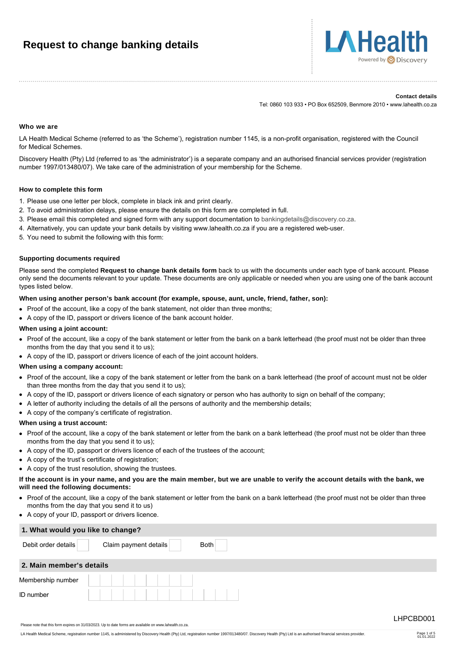# **Request to change banking details**



#### **Contact details**

Tel: 0860 103 933 • PO Box 652509, Benmore 2010 • www.lahealth.co.za

#### **Who we are**

LA Health Medical Scheme (referred to as 'the Scheme'), registration number 1145, is a non-profit organisation, registered with the Council for Medical Schemes.

Discovery Health (Pty) Ltd (referred to as 'the administrator') is a separate company and an authorised financial services provider (registration number 1997/013480/07). We take care of the administration of your membership for the Scheme.

# **How to complete this form**

- 1. Please use one letter per block, complete in black ink and print clearly.
- 2. To avoid administration delays, please ensure the details on this form are completed in full.
- 3. Please email this completed and signed form with any support documentation to [bankingdetails@discovery.co.za](mailto:bankingdetails@discovery.co.za).
- 4. Alternatively, you can update your bank details by visiting www.lahealth.co.za if you are a registered web-user.
- 5. You need to submit the following with this form:

### **Supporting documents required**

Please send the completed **Request to change bank details form** back to us with the documents under each type of bank account. Please only send the documents relevant to your update. These documents are only applicable or needed when you are using one of the bank account types listed below.

#### **When using another person's bank account (for example, spouse, aunt, uncle, friend, father, son):**

- Proof of the account, like a copy of the bank statement, not older than three months;
- A copy of the ID, passport or drivers licence of the bank account holder.

#### **When using a joint account:**

- Proof of the account, like a copy of the bank statement or letter from the bank on a bank letterhead (the proof must not be older than three months from the day that you send it to us);
- A copy of the ID, passport or drivers licence of each of the joint account holders.

#### **When using a company account:**

- Proof of the account, like a copy of the bank statement or letter from the bank on a bank letterhead (the proof of account must not be older than three months from the day that you send it to us);
- A copy of the ID, passport or drivers licence of each signatory or person who has authority to sign on behalf of the company;
- A letter of authority including the details of all the persons of authority and the membership details;
- A copy of the company's certificate of registration.

## **When using a trust account:**

- Proof of the account, like a copy of the bank statement or letter from the bank on a bank letterhead (the proof must not be older than three months from the day that you send it to us);
- A copy of the ID, passport or drivers licence of each of the trustees of the account;
- A copy of the trust's certificate of registration;
- A copy of the trust resolution, showing the trustees.

#### **If the account is in your name, and you are the main member, but we are unable to verify the account details with the bank, we will need the following documents:**

- Proof of the account, like a copy of the bank statement or letter from the bank on a bank letterhead (the proof must not be older than three months from the day that you send it to us)
- A copy of your ID, passport or drivers licence.

| 1. What would you like to change? |                                      |  |  |  |  |  |  |  |
|-----------------------------------|--------------------------------------|--|--|--|--|--|--|--|
| Debit order details               | <b>Both</b><br>Claim payment details |  |  |  |  |  |  |  |
| 2. Main member's details          |                                      |  |  |  |  |  |  |  |
| Membership number                 |                                      |  |  |  |  |  |  |  |
| ID number                         |                                      |  |  |  |  |  |  |  |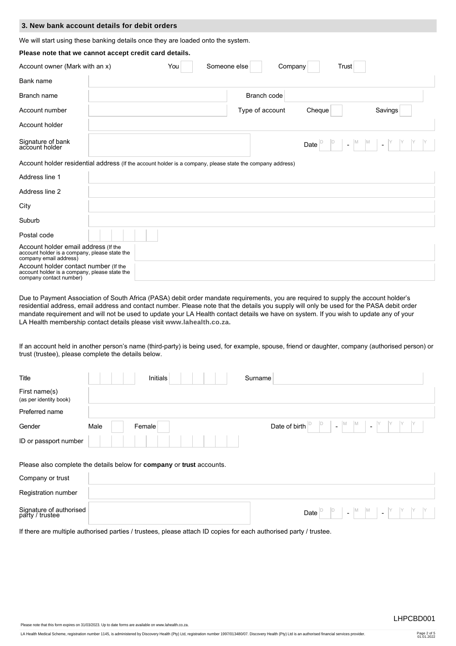|                                                                                                                 | 3. New bank account details for debit orders                                                              |  |  |  |  |  |  |  |  |
|-----------------------------------------------------------------------------------------------------------------|-----------------------------------------------------------------------------------------------------------|--|--|--|--|--|--|--|--|
| We will start using these banking details once they are loaded onto the system.                                 |                                                                                                           |  |  |  |  |  |  |  |  |
| Please note that we cannot accept credit card details.                                                          |                                                                                                           |  |  |  |  |  |  |  |  |
| Account owner (Mark with an x)<br>Someone else<br>You<br>Trust<br>Company                                       |                                                                                                           |  |  |  |  |  |  |  |  |
| Bank name                                                                                                       |                                                                                                           |  |  |  |  |  |  |  |  |
| Branch name                                                                                                     | Branch code                                                                                               |  |  |  |  |  |  |  |  |
| Account number                                                                                                  | Type of account<br>Cheque<br>Savings                                                                      |  |  |  |  |  |  |  |  |
| Account holder                                                                                                  |                                                                                                           |  |  |  |  |  |  |  |  |
| Signature of bank<br>account holder                                                                             | $M_{\odot}$<br>Date<br>$\mathbf{r}$                                                                       |  |  |  |  |  |  |  |  |
|                                                                                                                 | Account holder residential address (If the account holder is a company, please state the company address) |  |  |  |  |  |  |  |  |
| Address line 1                                                                                                  |                                                                                                           |  |  |  |  |  |  |  |  |
| Address line 2                                                                                                  |                                                                                                           |  |  |  |  |  |  |  |  |
| City                                                                                                            |                                                                                                           |  |  |  |  |  |  |  |  |
| Suburb                                                                                                          |                                                                                                           |  |  |  |  |  |  |  |  |
| Postal code                                                                                                     |                                                                                                           |  |  |  |  |  |  |  |  |
| Account holder email address (If the<br>account holder is a company, please state the<br>company email address) |                                                                                                           |  |  |  |  |  |  |  |  |
| Account holder contact number (If the                                                                           |                                                                                                           |  |  |  |  |  |  |  |  |

Account holder contact number (If the account holder is a company, please state the company contact number)

Due to Payment Association of South Africa (PASA) debit order mandate requirements, you are required to supply the account holder's residential address, email address and contact number. Please note that the details you supply will only be used for the PASA debit order mandate requirement and will not be used to update your LA Health contact details we have on system. If you wish to update any of your LA Health membership contact details please visit **[www.lahealth.co.za.](http://www.lahealth.co.za)**

If an account held in another person's name (third-party) is being used, for example, spouse, friend or daughter, company (authorised person) or trust (trustee), please complete the details below.

| Title                                                                                     |      | Initials |  | Surname |               |      |        |                                                                             |                |  |  |  |
|-------------------------------------------------------------------------------------------|------|----------|--|---------|---------------|------|--------|-----------------------------------------------------------------------------|----------------|--|--|--|
| First name(s)<br>(as per identity book)                                                   |      |          |  |         |               |      |        |                                                                             |                |  |  |  |
| Preferred name                                                                            |      |          |  |         |               |      |        |                                                                             |                |  |  |  |
| Gender                                                                                    | Male | Female   |  |         | Date of birth |      | $\sim$ | $M$ $\quad$ $M$                                                             | $\mathbb{Z}^2$ |  |  |  |
| ID or passport number                                                                     |      |          |  |         |               |      |        |                                                                             |                |  |  |  |
| Please also complete the details below for company or trust accounts.<br>Company or trust |      |          |  |         |               |      |        |                                                                             |                |  |  |  |
| Registration number                                                                       |      |          |  |         |               |      |        |                                                                             |                |  |  |  |
| Signature of authorised<br>party / trustee                                                |      |          |  |         |               | Date |        | $\begin{bmatrix} M & M \end{bmatrix}$ $\begin{bmatrix} N & N \end{bmatrix}$ |                |  |  |  |

If there are multiple authorised parties / trustees, please attach ID copies for each authorised party / trustee.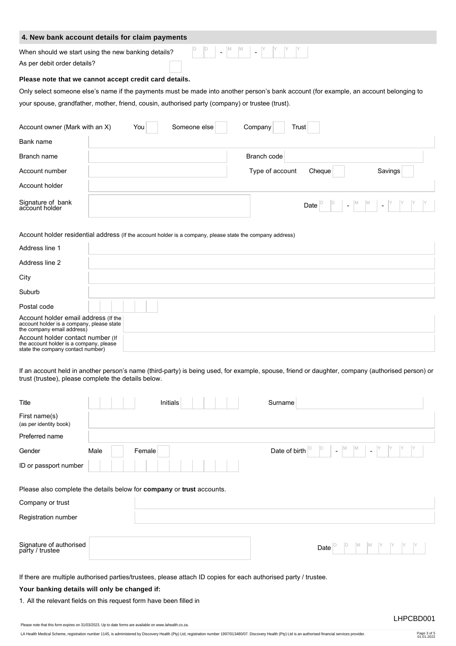|                                                                                                                                                                                                                                           | 4. New bank account details for claim payments                                                                                                                                                                                                                                                                                                                                                                                                                             |  |  |  |  |  |  |  |  |
|-------------------------------------------------------------------------------------------------------------------------------------------------------------------------------------------------------------------------------------------|----------------------------------------------------------------------------------------------------------------------------------------------------------------------------------------------------------------------------------------------------------------------------------------------------------------------------------------------------------------------------------------------------------------------------------------------------------------------------|--|--|--|--|--|--|--|--|
| As per debit order details?                                                                                                                                                                                                               | $\begin{array}{c c c c c c c c} \hline \mathsf{P} & \mathsf{P} & \mathsf{P} & \mathsf{M} & \mathsf{M} & \mathsf{M} & \mathsf{M} & \mathsf{M} & \mathsf{M} & \mathsf{M} & \mathsf{M} & \mathsf{M} & \mathsf{M} & \mathsf{M} & \mathsf{M} & \mathsf{M} & \mathsf{M} & \mathsf{M} & \mathsf{M} & \mathsf{M} & \mathsf{M} & \mathsf{M} & \mathsf{M} & \mathsf{M} & \mathsf{M} & \mathsf{M} & \mathsf{M} & \mathsf{M} &$<br>When should we start using the new banking details? |  |  |  |  |  |  |  |  |
| Please note that we cannot accept credit card details.                                                                                                                                                                                    |                                                                                                                                                                                                                                                                                                                                                                                                                                                                            |  |  |  |  |  |  |  |  |
| Only select someone else's name if the payments must be made into another person's bank account (for example, an account belonging to<br>your spouse, grandfather, mother, friend, cousin, authorised party (company) or trustee (trust). |                                                                                                                                                                                                                                                                                                                                                                                                                                                                            |  |  |  |  |  |  |  |  |
| Account owner (Mark with an X)                                                                                                                                                                                                            | Someone else<br>You  <br>Company<br>Trust                                                                                                                                                                                                                                                                                                                                                                                                                                  |  |  |  |  |  |  |  |  |
| Bank name                                                                                                                                                                                                                                 |                                                                                                                                                                                                                                                                                                                                                                                                                                                                            |  |  |  |  |  |  |  |  |
| Branch name                                                                                                                                                                                                                               | Branch code                                                                                                                                                                                                                                                                                                                                                                                                                                                                |  |  |  |  |  |  |  |  |
| Account number                                                                                                                                                                                                                            | Type of account<br>Cheque<br>Savings                                                                                                                                                                                                                                                                                                                                                                                                                                       |  |  |  |  |  |  |  |  |
| Account holder                                                                                                                                                                                                                            |                                                                                                                                                                                                                                                                                                                                                                                                                                                                            |  |  |  |  |  |  |  |  |
| Signature of bank<br>account holder                                                                                                                                                                                                       | $\begin{bmatrix} 1 & 1 \\ 1 & 1 \end{bmatrix}$ $\begin{bmatrix} 1 & 1 \\ 1 & 1 \end{bmatrix}$ $\begin{bmatrix} 1 & 1 \\ 1 & 1 \end{bmatrix}$ $\begin{bmatrix} 1 & 1 \\ 1 & 1 \end{bmatrix}$<br>Date $\vert$                                                                                                                                                                                                                                                                |  |  |  |  |  |  |  |  |

Account holder residential address (If the account holder is a company, please state the company address)

| Address line 1                                                                                                    |  |
|-------------------------------------------------------------------------------------------------------------------|--|
| Address line 2                                                                                                    |  |
| City                                                                                                              |  |
| Suburb                                                                                                            |  |
| Postal code                                                                                                       |  |
| Account holder email address (If the<br>account holder is a company, please state<br>the company email address)   |  |
| Account holder contact number (If<br>the account holder is a company, please<br>state the company contact number) |  |

If an account held in another person's name (third-party) is being used, for example, spouse, friend or daughter, company (authorised person) or trust (trustee), please complete the details below.

| Title                                                                                                           |      | Initials |  |  | Surname       |                |  |  |  |
|-----------------------------------------------------------------------------------------------------------------|------|----------|--|--|---------------|----------------|--|--|--|
| First name(s)<br>(as per identity book)                                                                         |      |          |  |  |               |                |  |  |  |
| Preferred name                                                                                                  |      |          |  |  |               |                |  |  |  |
| Gender                                                                                                          | Male | Female   |  |  | Date of birth | $\blacksquare$ |  |  |  |
| ID or passport number                                                                                           |      |          |  |  |               |                |  |  |  |
| Please also complete the details below for company or trust accounts.                                           |      |          |  |  |               |                |  |  |  |
| Company or trust                                                                                                |      |          |  |  |               |                |  |  |  |
| Registration number                                                                                             |      |          |  |  |               |                |  |  |  |
| Signature of authorised<br>party / trustee                                                                      |      |          |  |  |               | Date           |  |  |  |
| If there are multiple authorised parties/trustees, please attach ID copies for each authorised party / trustee. |      |          |  |  |               |                |  |  |  |

# **Your banking details will only be changed if:**

1. All the relevant fields on this request form have been filled in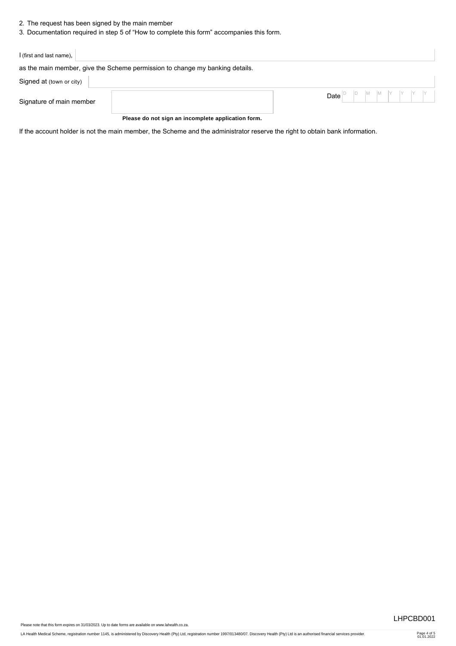- 2. The request has been signed by the main member
- 3. Documentation required in step 5 of "How to complete this form" accompanies this form.

| I (first and last name),                                                     |                                                                                                                                                                                                         |
|------------------------------------------------------------------------------|---------------------------------------------------------------------------------------------------------------------------------------------------------------------------------------------------------|
| as the main member, give the Scheme permission to change my banking details. |                                                                                                                                                                                                         |
| Signed at (town or city)                                                     |                                                                                                                                                                                                         |
| Signature of main member                                                     | Date $\begin{bmatrix} D \\ D \end{bmatrix}$ $\begin{bmatrix} D \\ M \end{bmatrix}$ $\begin{bmatrix} M \\ N \end{bmatrix}$ $\begin{bmatrix} Y \\ Y \end{bmatrix}$ $\begin{bmatrix} Y \\ Y \end{bmatrix}$ |

**Please do not sign an incomplete application form.**

If the account holder is not the main member, the Scheme and the administrator reserve the right to obtain bank information.